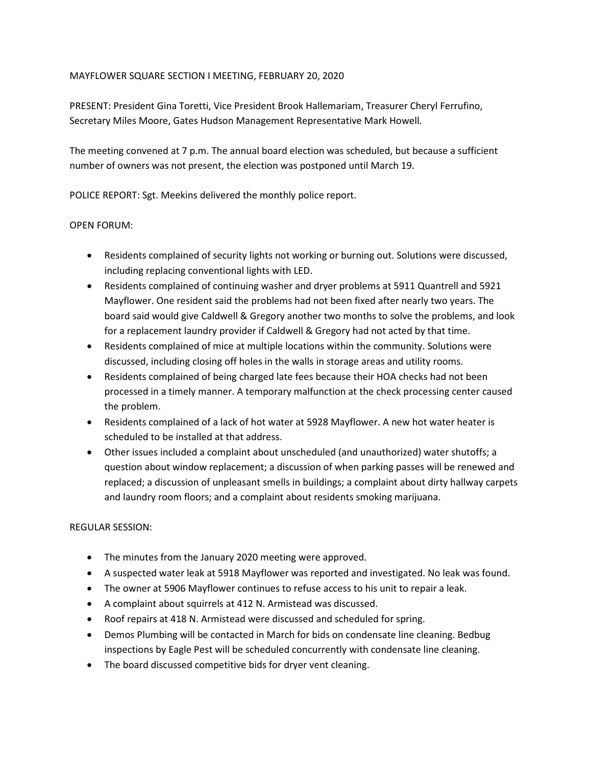## MAYFLOWER SQUARE SECTION I MEETING, FEBRUARY 20, 2020

PRESENT: President Gina Toretti, Vice President Brook Hallemariam, Treasurer Cheryl Ferrufino, Secretary Miles Moore, Gates Hudson Management Representative Mark Howell.

The meeting convened at 7 p.m. The annual board election was scheduled, but because a sufficient number of owners was not present, the election was postponed until March 19.

POLICE REPORT: Sgt. Meekins delivered the monthly police report.

## OPEN FORUM:

- Residents complained of security lights not working or burning out. Solutions were discussed, including replacing conventional lights with LED.
- Residents complained of continuing washer and dryer problems at 5911 Quantrell and 5921 Mayflower. One resident said the problems had not been fixed after nearly two years. The board said would give Caldwell & Gregory another two months to solve the problems, and look for a replacement laundry provider if Caldwell & Gregory had not acted by that time.
- Residents complained of mice at multiple locations within the community. Solutions were discussed, including closing off holes in the walls in storage areas and utility rooms.
- Residents complained of being charged late fees because their HOA checks had not been processed in a timely manner. A temporary malfunction at the check processing center caused the problem.
- Residents complained of a lack of hot water at 5928 Mayflower. A new hot water heater is scheduled to be installed at that address.
- Other issues included a complaint about unscheduled (and unauthorized) water shutoffs; a question about window replacement; a discussion of when parking passes will be renewed and replaced; a discussion of unpleasant smells in buildings; a complaint about dirty hallway carpets and laundry room floors; and a complaint about residents smoking marijuana.

## REGULAR SESSION:

- The minutes from the January 2020 meeting were approved.
- A suspected water leak at 5918 Mayflower was reported and investigated. No leak was found.
- The owner at 5906 Mayflower continues to refuse access to his unit to repair a leak.
- A complaint about squirrels at 412 N. Armistead was discussed.
- Roof repairs at 418 N. Armistead were discussed and scheduled for spring.
- Demos Plumbing will be contacted in March for bids on condensate line cleaning. Bedbug inspections by Eagle Pest will be scheduled concurrently with condensate line cleaning.
- The board discussed competitive bids for dryer vent cleaning.